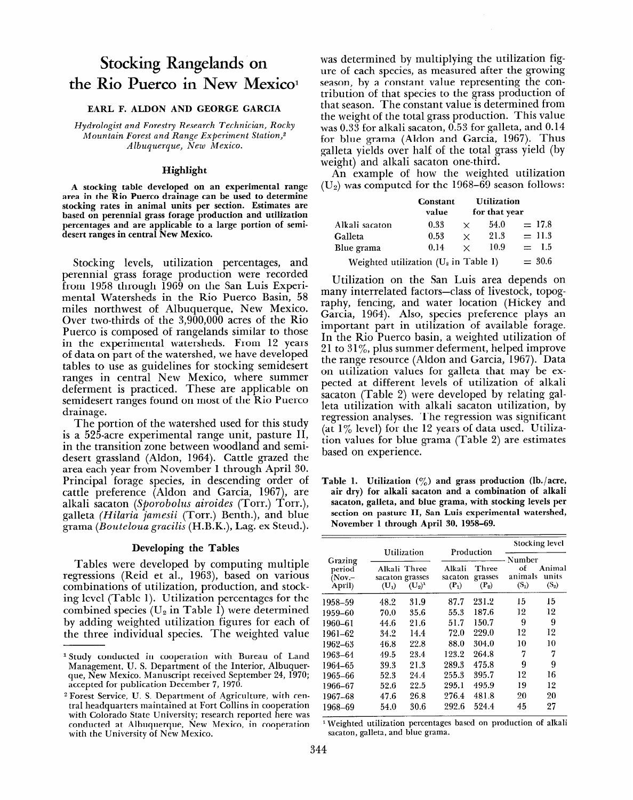# **Stocking Rangelands on**  the Rio Puerco in New Mexico<sup>1</sup>

## **EARL F. ALDON AND GEORGE GARCIA**

*Hydrologist and Forestry Research Technician, Rocky Mountain Forest and Range Experiment Station,2 Albuquerque, New Mexico.* 

### **Highlight**

**A stocking table developed on an experimental range**  area in the Rio Puerco drainage can be used to determine stocking rates in animal units per section. Estimates are **based on perennial grass forage production and utilization percentages and are applicable to a large portion of semidesert ranges in central New Mexico.** 

Stocking levels, utilization percentages, and perennial grass forage production were recorded from 1958 through 1969 on the San Luis Experimental Watersheds in the Rio Puerco Basin, 58 miles northwest of Albuquerque, New Mexico. Over two-thirds of the 3,900,OOO acres of the Rio Puerco is composed of rangelands similar to those in the experimental watersheds. From 12 years of data on part of the watershed, we have developed tables to use as guidelines for stocking semidesert ranges in central New Mexico, where summer deferment is practiced. These are applicable on semidesert ranges found on most of the Rio Puerco drainage.

The portion of the watershed used for this study I'll portion of the watershed used for this study  $\frac{d}{dx}$  is a separate experimental range dirt, passure ri in the transition zone between woodland and semidesert grassland (Aldon, 1964). Cattle grazed the area each year from November 1 through April 30. Principal forage species, in descending order of cattle preference (Aldon and Garcia, 1967), are alkali sacaton (Sporobolus airoides (Torr.) Torr.), grama *(Bouteloua graciks* (H.B.K.), Lag. ex Steud.).

# **Developing the Tables**

 $T$ ables were developed by computing multiple multiple multiple multiple multiple multiple multiple multiple multiple multiple multiple multiple multiple multiple multiple multiple multiple multiple multiple multiple mult Tables were developed by computing multiple regressions (Reid et al., 1963), based on various combinations of utilization, production, and stocking level (Table 1). Utilization percentages for the combined species ( $U_2$  in Table 1) were determined by adding weighted utilization figures for each of the three individual species. The weighted value

l Study conducted in cooperation with Bureau of Land

was determined by multiplying the utilization figure of each species, as measured after the growing season, by a constant value representing the contribution of that species to the grass production of that season. The constant value is determined from the weight of the total grass production. This value was 0.33 for alkali sacaton, 0.53 for galleta, and 0.14 for blue grama (Aldon and Garcia, 1967). Thus galleta yields over half of the total grass yield (by weight) and alkali sacaton one-third.

An example of how the weighted utilization  $(U_2)$  was computed for the 1968–69 season follows:

|                                         | Constant<br>value |          | <b>Utilization</b><br>for that year |          |
|-----------------------------------------|-------------------|----------|-------------------------------------|----------|
| Alkali sacaton                          | 0.33              | $\times$ | 54.0                                | $= 17.8$ |
| Galleta                                 | 0.53              | $\times$ | 21.3                                | $= 11.3$ |
| Blue grama                              | 0.14              | $\times$ | 10.9                                | $=$ 1.5  |
| Weighted utilization $(U_2$ in Table 1) | $= 30.6$          |          |                                     |          |

Utilization on the San Luis area depends on many interrelated factors-class of livestock, topography, fencing, and water location (Hickey and Garcia, 1964). Also, species preference plays an important part in utilization of available forage. In the Rio Puerco basin, a weighted utilization of 21 to  $31\%$ , plus summer deferment, helped improve the range resource (Aldon and Garcia, 1967). Data on utilization values for galleta that may be expected at different levels of utilization of alkali sacaton (Table 2) were developed by relating galleta utilization with alkali sacaton utilization, by regression analyses. The regression was significant (at  $1\%$  level) for the 12 years of data used. Utilization values for blue grama (Table 2) are estimates based on experience.

**Table 1. Utilization** (%) **and grass production (lb./acre,**  abic i. Chinzation (<sub>/0</sub>) and grass production (ib./acre air dry) for alkali sacaton and a combination of alkali sacaton, galleta, and blue grama, with stocking levels per **November 1 through April 30, 1958-69.** 

|                                         |                                            |                          | Production                   |                             | <b>Stocking level</b>              |                            |  |
|-----------------------------------------|--------------------------------------------|--------------------------|------------------------------|-----------------------------|------------------------------------|----------------------------|--|
| Grazing<br>period<br>$(Nov -$<br>April) | Alkali Three<br>sacaton grasses<br>$(U_1)$ | Utilization<br>$(U_2)^1$ | Alkali<br>sacaton<br>$(P_1)$ | Three<br>grasses<br>$(P_2)$ | Number<br>Ωf<br>animals<br>$(S_1)$ | Animal<br>units<br>$(S_2)$ |  |
| 1958–59                                 | 48.2                                       | 31.9                     | 87.7                         | 231.2                       | 15                                 | 15                         |  |
| 1959-60                                 | 70.0                                       | 35.6                     | 55.3                         | 187.6                       | 12                                 | 12                         |  |
| 1960-61                                 | 44.6                                       | 21.6                     | 51.7                         | 150.7                       | 9                                  | 9                          |  |
| 1961-62                                 | 34.2                                       | 14.4                     | 72.0                         | 229.0                       | 12                                 | 12                         |  |
| 1962-63                                 | 46.8                                       | 22.8                     | 88.0                         | 304.0                       | 10                                 | 10                         |  |
| 1963–64                                 | 49.5                                       | 23.4                     | 123.2                        | 264.8                       | 7                                  | 7                          |  |
| 1964-65                                 | 39.3                                       | 21.3                     | 289.3                        | 475.8                       | 9                                  | 9                          |  |
| 1965–66                                 | 52.3                                       | 24.4                     | 255.3                        | 395.7                       | 12                                 | 16                         |  |
| 1966-67                                 | 52.6                                       | 22.5                     | 295.1                        | 495.9                       | 19                                 | 12                         |  |
| 1967-68                                 | 47.6                                       | 96.8                     | 276.4                        | 481.8                       | 20                                 | 20                         |  |
| 1968–69                                 | 54.0                                       | 30.6                     | 292.6                        | 524.4                       | 45                                 | 27                         |  |

<sup>1</sup> Weighted utilization percentages based on production of alkali sacaton, galleta, and blue grama.

<sup>&</sup>lt;sup>1</sup> Study conducted in cooperation with Bureau of Land Management, U. S. Department of the Interior, Albuquerque, New Mexico. Manuscript received September 24, 1970; accepted for publication December 7, 1970.

<sup>&</sup>lt;sup>2</sup> Forest Service, U. S. Department of Agriculture, with central headquarters maintained at Fort Collins in cooperation with Colorado State University; research reported here was conducted at Albuquerque, New Mexico, in cooperation with the University of New Mexico.